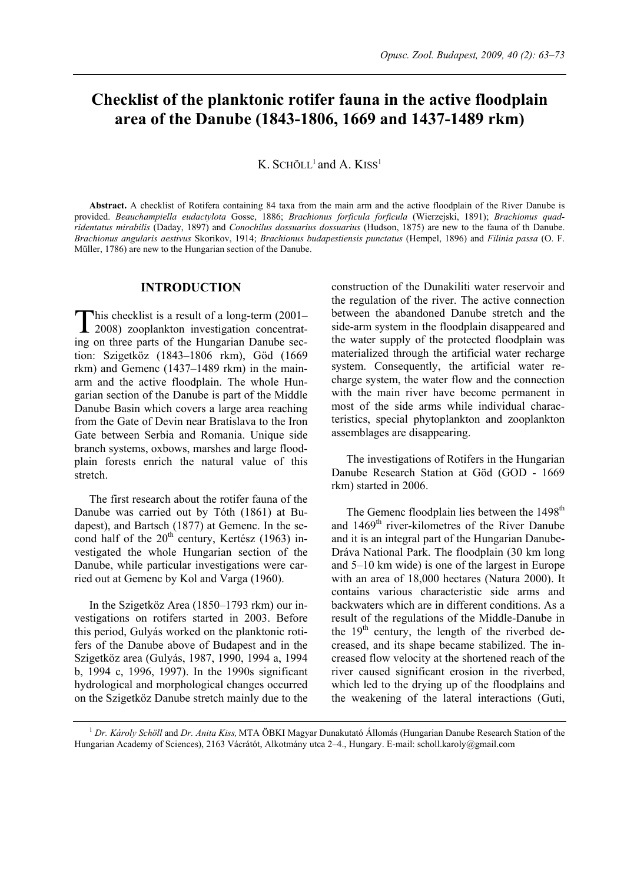# **Checklist of the planktonic rotifer fauna in the active floodplain area of the Danube (1843-1806, 1669 and 1437-1489 rkm)**

 $K.$  SCHÖLL<sup>1</sup> and A.  $KISS<sup>1</sup>$ 

**Abstract.** A checklist of Rotifera containing 84 taxa from the main arm and the active floodplain of the River Danube is provided. *Beauchampiella eudactylota* Gosse, 1886; *Brachionus forficula forficula* (Wierzejski, 1891); *Brachionus quadridentatus mirabilis* (Daday, 1897) and *Conochilus dossuarius dossuarius* (Hudson, 1875) are new to the fauna of th Danube. *Brachionus angularis aestivus* Skorikov, 1914; *Brachionus budapestiensis punctatus* (Hempel, 1896) and *Filinia passa* (O. F. Müller, 1786) are new to the Hungarian section of the Danube.

# **INTRODUCTION**

his checklist is a result of a long-term (2001– This checklist is a result of a long-term (2001–<br>2008) zooplankton investigation concentrating on three parts of the Hungarian Danube section: Szigetköz (1843–1806 rkm), Göd (1669 rkm) and Gemenc (1437–1489 rkm) in the mainarm and the active floodplain. The whole Hungarian section of the Danube is part of the Middle Danube Basin which covers a large area reaching from the Gate of Devin near Bratislava to the Iron Gate between Serbia and Romania. Unique side branch systems, oxbows, marshes and large floodplain forests enrich the natural value of this stretch.

The first research about the rotifer fauna of the Danube was carried out by Tóth (1861) at Budapest), and Bartsch (1877) at Gemenc. In the second half of the  $20<sup>th</sup>$  century, Kertész (1963) investigated the whole Hungarian section of the Danube, while particular investigations were carried out at Gemenc by Kol and Varga (1960).

In the Szigetköz Area (1850–1793 rkm) our investigations on rotifers started in 2003. Before this period, Gulyás worked on the planktonic rotifers of the Danube above of Budapest and in the Szigetköz area (Gulyás, 1987, 1990, 1994 a, 1994 b, 1994 c, 1996, 1997). In the 1990s significant hydrological and morphological changes occurred on the Szigetköz Danube stretch mainly due to the construction of the Dunakiliti water reservoir and the regulation of the river. The active connection between the abandoned Danube stretch and the side-arm system in the floodplain disappeared and the water supply of the protected floodplain was materialized through the artificial water recharge system. Consequently, the artificial water recharge system, the water flow and the connection with the main river have become permanent in most of the side arms while individual characteristics, special phytoplankton and zooplankton assemblages are disappearing.

The investigations of Rotifers in the Hungarian Danube Research Station at Göd (GOD - 1669 rkm) started in 2006.

The Gemenc floodplain lies between the 1498<sup>th</sup> and 1469<sup>th</sup> river-kilometres of the River Danube and it is an integral part of the Hungarian Danube-Dráva National Park. The floodplain (30 km long and 5–10 km wide) is one of the largest in Europe with an area of 18,000 hectares (Natura 2000). It contains various characteristic side arms and backwaters which are in different conditions. As a result of the regulations of the Middle-Danube in the  $19<sup>th</sup>$  century, the length of the riverbed decreased, and its shape became stabilized. The increased flow velocity at the shortened reach of the river caused significant erosion in the riverbed, which led to the drying up of the floodplains and the weakening of the lateral interactions (Guti,

1  *Dr. Károly Schöll* and *Dr. Anita Kiss,* MTA ÖBKI Magyar Dunakutató Állomás (Hungarian Danube Research Station of the Hungarian Academy of Sciences), 2163 Vácrátót, Alkotmány utca 2–4., Hungary. E-mail: scholl.karoly@gmail.com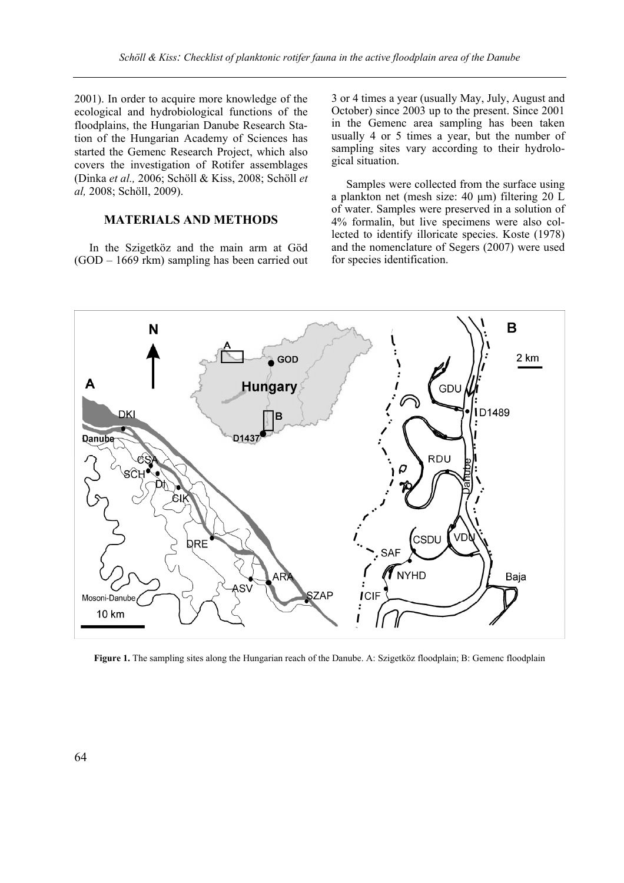2001). In order to acquire more knowledge of the ecological and hydrobiological functions of the floodplains, the Hungarian Danube Research Station of the Hungarian Academy of Sciences has started the Gemenc Research Project, which also covers the investigation of Rotifer assemblages (Dinka *et al.,* 2006; Schöll & Kiss, 2008; Schöll *et al,* 2008; Schöll, 2009).

# **MATERIALS AND METHODS**

In the Szigetköz and the main arm at Göd (GOD – 1669 rkm) sampling has been carried out 3 or 4 times a year (usually May, July, August and October) since 2003 up to the present. Since 2001 in the Gemenc area sampling has been taken usually 4 or 5 times a year, but the number of sampling sites vary according to their hydrological situation.

Samples were collected from the surface using a plankton net (mesh size: 40 µm) filtering 20 L of water. Samples were preserved in a solution of 4% formalin, but live specimens were also collected to identify illoricate species. Koste (1978) and the nomenclature of Segers (2007) were used for species identification.



**Figure 1.** The sampling sites along the Hungarian reach of the Danube. A: Szigetköz floodplain; B: Gemenc floodplain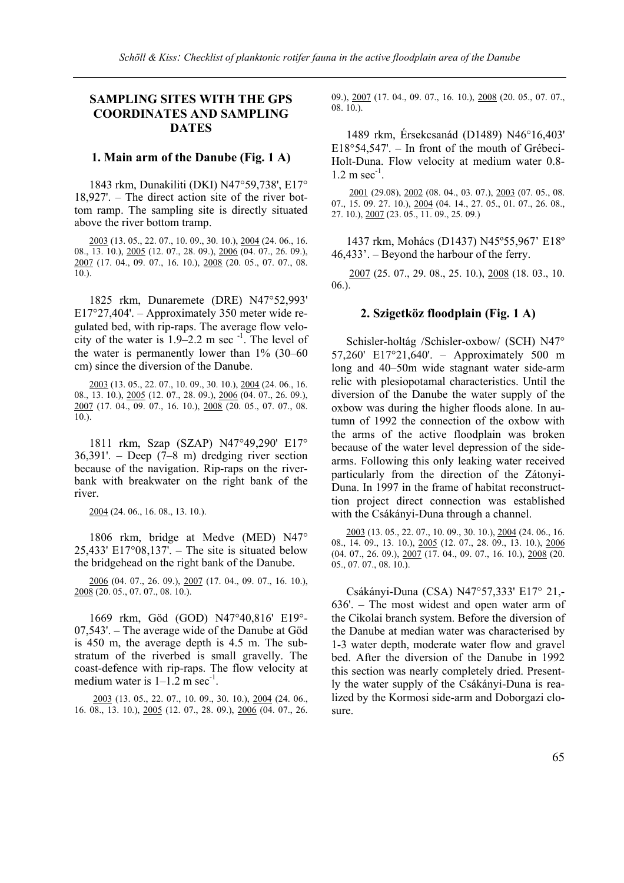# **SAMPLING SITES WITH THE GPS COORDINATES AND SAMPLING DATES**

### **1. Main arm of the Danube (Fig. 1 A)**

1843 rkm, Dunakiliti (DKI) N47°59,738', E17° 18,927'. – The direct action site of the river bottom ramp. The sampling site is directly situated above the river bottom tramp.

2003 (13. 05., 22. 07., 10. 09., 30. 10.), 2004 (24. 06., 16. 08., 13. 10.), 2005 (12. 07., 28. 09.), 2006 (04. 07., 26. 09.), 2007 (17. 04., 09. 07., 16. 10.), 2008 (20. 05., 07. 07., 08. 10.).

1825 rkm, Dunaremete (DRE) N47°52,993' E17°27,404'. – Approximately 350 meter wide regulated bed, with rip-raps. The average flow velocity of the water is  $1.9-2.2$  m sec<sup>-1</sup>. The level of the water is permanently lower than 1% (30–60 cm) since the diversion of the Danube.

2003 (13. 05., 22. 07., 10. 09., 30. 10.), 2004 (24. 06., 16. 08., 13. 10.), 2005 (12. 07., 28. 09.), 2006 (04. 07., 26. 09.), 2007 (17. 04., 09. 07., 16. 10.), 2008 (20. 05., 07. 07., 08. 10.).

1811 rkm, Szap (SZAP) N47°49,290' E17° 36,391'. – Deep (7–8 m) dredging river section because of the navigation. Rip-raps on the riverbank with breakwater on the right bank of the river.

2004 (24. 06., 16. 08., 13. 10.).

1806 rkm, bridge at Medve (MED) N47° 25,433' E17°08,137'. – The site is situated below the bridgehead on the right bank of the Danube.

2006 (04. 07., 26. 09.), 2007 (17. 04., 09. 07., 16. 10.), 2008 (20. 05., 07. 07., 08. 10.).

1669 rkm, Göd (GOD) N47°40,816' E19°- 07,543'. – The average wide of the Danube at Göd is 450 m, the average depth is 4.5 m. The substratum of the riverbed is small gravelly. The coast-defence with rip-raps. The flow velocity at medium water is  $1-1.2$  m sec<sup>-1</sup>.

2003 (13. 05., 22. 07., 10. 09., 30. 10.), 2004 (24. 06., 16. 08., 13. 10.), 2005 (12. 07., 28. 09.), 2006 (04. 07., 26. 09.), 2007 (17. 04., 09. 07., 16. 10.), 2008 (20. 05., 07. 07., 08. 10.).

1489 rkm, Érsekcsanád (D1489) N46°16,403' E18°54,547'. – In front of the mouth of Grébeci-Holt-Duna. Flow velocity at medium water 0.8-  $1.2 \text{ m sec}^{-1}$ .

2001 (29.08), 2002 (08. 04., 03. 07.), 2003 (07. 05., 08. 07., 15. 09. 27. 10.), 2004 (04. 14., 27. 05., 01. 07., 26. 08., 27. 10.), 2007 (23. 05., 11. 09., 25. 09.)

1437 rkm, Mohács (D1437) N45º55,967' E18º 46,433'. – Beyond the harbour of the ferry.

2007 (25. 07., 29. 08., 25. 10.), 2008 (18. 03., 10. 06.).

# **2. Szigetköz floodplain (Fig. 1 A)**

Schisler-holtág /Schisler-oxbow/ (SCH) N47° 57,260' E17°21,640'. – Approximately 500 m long and 40–50m wide stagnant water side-arm relic with plesiopotamal characteristics. Until the diversion of the Danube the water supply of the oxbow was during the higher floods alone. In autumn of 1992 the connection of the oxbow with the arms of the active floodplain was broken because of the water level depression of the sidearms. Following this only leaking water received particularly from the direction of the Zátonyi-Duna. In 1997 in the frame of habitat reconstructtion project direct connection was established with the Csákányi-Duna through a channel.

2003 (13. 05., 22. 07., 10. 09., 30. 10.), 2004 (24. 06., 16. 08., 14. 09., 13. 10.), 2005 (12. 07., 28. 09., 13. 10.), 2006 (04. 07., 26. 09.), 2007 (17. 04., 09. 07., 16. 10.), 2008 (20. 05., 07. 07., 08. 10.).

Csákányi-Duna (CSA) N47°57,333' E17° 21,- 636'. – The most widest and open water arm of the Cikolai branch system. Before the diversion of the Danube at median water was characterised by 1-3 water depth, moderate water flow and gravel bed. After the diversion of the Danube in 1992 this section was nearly completely dried. Presently the water supply of the Csákányi-Duna is realized by the Kormosi side-arm and Doborgazi closure.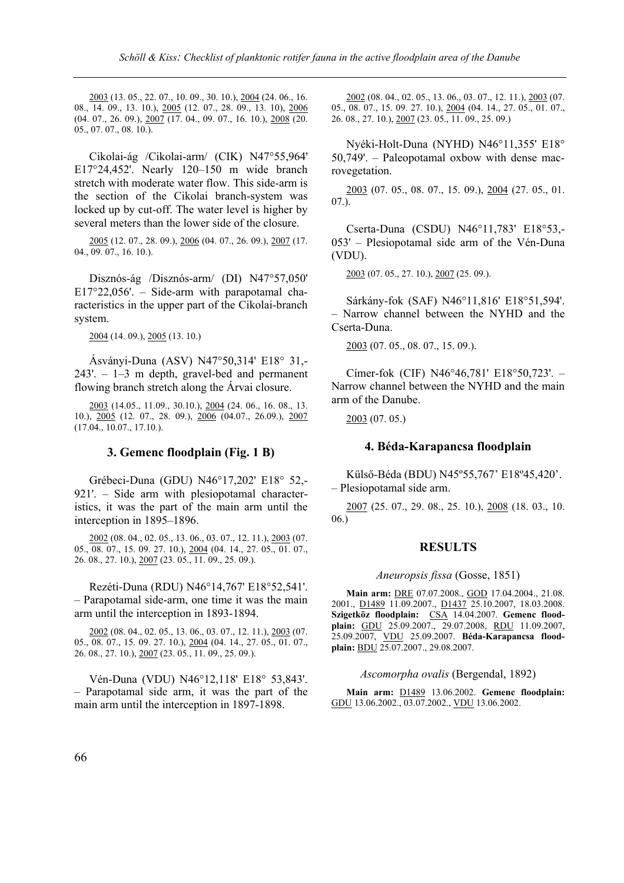2003 (13. 05., 22. 07., 10. 09., 30. 10.), 2004 (24. 06., 16. 08., 14. 09., 13. 10.), 2005 (12. 07., 28. 09., 13. 10), 2006 (04. 07., 26. 09.), 2007 (17. 04., 09. 07., 16. 10.), 2008 (20. 05., 07. 07., 08. 10.).

Cikolai-ág /Cikolai-arm/ (CIK) N47°55,964' E17°24,452'. Nearly 120–150 m wide branch stretch with moderate water flow. This side-arm is the section of the Cikolai branch-system was locked up by cut-off. The water level is higher by several meters than the lower side of the closure.

2005 (12. 07., 28. 09.), 2006 (04. 07., 26. 09.), 2007 (17. 04., 09. 07., 16. 10.).

Disznós-ág /Disznós-arm/ (DI) N47°57,050' E17°22,056'. – Side-arm with parapotamal characteristics in the upper part of the Cikolai-branch system.

2004 (14. 09.), 2005 (13. 10.)

Ásványi-Duna (ASV) N47°50,314' E18° 31,- 243'. – 1–3 m depth, gravel-bed and permanent flowing branch stretch along the Árvai closure.

2003 (14.05., 11.09., 30.10.), 2004 (24. 06., 16. 08., 13. 10.), 2005 (12. 07., 28. 09.), 2006 (04.07., 26.09.), 2007 (17.04., 10.07., 17.10.).

# **3. Gemenc floodplain (Fig. 1 B)**

Grébeci-Duna (GDU) N46°17,202' E18° 52,- 921'. – Side arm with plesiopotamal characteristics, it was the part of the main arm until the interception in 1895–1896.

2002 (08. 04., 02. 05., 13. 06., 03. 07., 12. 11.), 2003 (07. 05., 08. 07., 15. 09. 27. 10.), 2004 (04. 14., 27. 05., 01. 07., 26. 08., 27. 10.), 2007 (23. 05., 11. 09., 25. 09.).

Rezéti-Duna (RDU) N46°14,767' E18°52,541'. – Parapotamal side-arm, one time it was the main arm until the interception in 1893-1894.

2002 (08. 04., 02. 05., 13. 06., 03. 07., 12. 11.), 2003 (07. 05., 08. 07., 15. 09. 27. 10.), 2004 (04. 14., 27. 05., 01. 07., 26. 08., 27. 10.), 2007 (23. 05., 11. 09., 25. 09.).

Vén-Duna (VDU) N46°12,118' E18° 53,843'. – Parapotamal side arm, it was the part of the main arm until the interception in 1897-1898.

2002 (08. 04., 02. 05., 13. 06., 03. 07., 12. 11.), 2003 (07. 05., 08. 07., 15. 09. 27. 10.), 2004 (04. 14., 27. 05., 01. 07., 26. 08., 27. 10.), 2007 (23. 05., 11. 09., 25. 09.)

Nyéki-Holt-Duna (NYHD) N46°11,355' E18° 50,749'. – Paleopotamal oxbow with dense macrovegetation.

2003 (07. 05., 08. 07., 15. 09.), 2004 (27. 05., 01. 07.).

Cserta-Duna (CSDU) N46°11,783' E18°53,- 053' – Plesiopotamal side arm of the Vén-Duna (VDU).

2003 (07. 05., 27. 10.), 2007 (25. 09.).

Sárkány-fok (SAF) N46°11,816' E18°51,594'. – Narrow channel between the NYHD and the Cserta-Duna.

2003 (07. 05., 08. 07., 15. 09.).

Címer-fok (CIF) N46°46,781' E18°50,723'. – Narrow channel between the NYHD and the main arm of the Danube.

2003 (07. 05.)

### **4. Béda-Karapancsa floodplain**

Külső-Béda (BDU) N45º55,767' E18º45,420'. – Plesiopotamal side arm.

2007 (25. 07., 29. 08., 25. 10.), 2008 (18. 03., 10. 06.)

### **RESULTS**

### *Aneuropsis fissa* (Gosse, 1851)

**Main arm:** DRE 07.07.2008., GOD 17.04.2004., 21.08. 2001., D1489 11.09.2007., D1437 25.10.2007, 18.03.2008. **Szigetköz floodplain:** CSA 14.04.2007. **Gemenc floodplain:** GDU 25.09.2007., 29.07.2008, RDU 11.09.2007, 25.09.2007, VDU 25.09.2007. **Béda-Karapancsa floodplain:** BDU 25.07.2007., 29.08.2007.

### *Ascomorpha ovalis* (Bergendal, 1892)

**Main arm:** D1489 13.06.2002. **Gemenc floodplain:** GDU 13.06.2002., 03.07.2002., VDU 13.06.2002.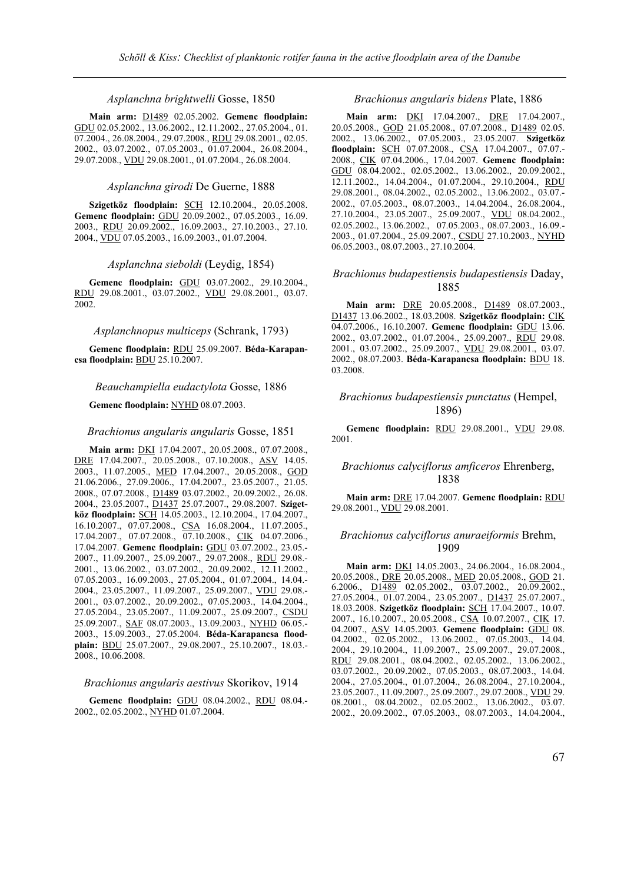#### *Asplanchna brightwelli* Gosse, 1850

**Main arm:** D1489 02.05.2002. **Gemenc floodplain:** GDU 02.05.2002., 13.06.2002., 12.11.2002., 27.05.2004., 01. 07.2004., 26.08.2004., 29.07.2008., RDU 29.08.2001., 02.05. 2002., 03.07.2002., 07.05.2003., 01.07.2004., 26.08.2004., 29.07.2008., VDU 29.08.2001., 01.07.2004., 26.08.2004.

#### *Asplanchna girodi* De Guerne, 1888

**Szigetköz floodplain:** SCH 12.10.2004., 20.05.2008. **Gemenc floodplain:** GDU 20.09.2002., 07.05.2003., 16.09. 2003., RDU 20.09.2002., 16.09.2003., 27.10.2003., 27.10. 2004., VDU 07.05.2003., 16.09.2003., 01.07.2004.

#### *Asplanchna sieboldi* (Leydig, 1854)

**Gemenc floodplain:** GDU 03.07.2002., 29.10.2004., RDU 29.08.2001., 03.07.2002., VDU 29.08.2001., 03.07. 2002.

#### *Asplanchnopus multiceps* (Schrank, 1793)

**Gemenc floodplain:** RDU 25.09.2007. **Béda-Karapancsa floodplain:** BDU 25.10.2007.

### *Beauchampiella eudactylota* Gosse, 1886

#### **Gemenc floodplain:** NYHD 08.07.2003.

#### *Brachionus angularis angularis* Gosse, 1851

**Main arm:** DKI 17.04.2007., 20.05.2008., 07.07.2008., DRE 17.04.2007., 20.05.2008., 07.10.2008., ASV 14.05. 2003., 11.07.2005., MED 17.04.2007., 20.05.2008., GOD 21.06.2006., 27.09.2006., 17.04.2007., 23.05.2007., 21.05. 2008., 07.07.2008., D1489 03.07.2002., 20.09.2002., 26.08. 2004., 23.05.2007., D1437 25.07.2007., 29.08.2007. **Szigetköz floodplain:** SCH 14.05.2003., 12.10.2004., 17.04.2007., 16.10.2007., 07.07.2008., CSA 16.08.2004., 11.07.2005., 17.04.2007., 07.07.2008., 07.10.2008., CIK 04.07.2006., 17.04.2007. **Gemenc floodplain:** GDU 03.07.2002., 23.05.- 2007., 11.09.2007., 25.09.2007., 29.07.2008., RDU 29.08.- 2001., 13.06.2002., 03.07.2002., 20.09.2002., 12.11.2002., 07.05.2003., 16.09.2003., 27.05.2004., 01.07.2004., 14.04.- 2004., 23.05.2007., 11.09.2007., 25.09.2007., VDU 29.08.- 2001., 03.07.2002., 20.09.2002., 07.05.2003., 14.04.2004., 27.05.2004., 23.05.2007., 11.09.2007., 25.09.2007., CSDU 25.09.2007., SAF 08.07.2003., 13.09.2003., NYHD 06.05.- 2003., 15.09.2003., 27.05.2004. **Béda-Karapancsa floodplain:** BDU 25.07.2007., 29.08.2007., 25.10.2007., 18.03.- 2008., 10.06.2008.

### *Brachionus angularis aestivus* Skorikov, 1914

**Gemenc floodplain:** GDU 08.04.2002., RDU 08.04.- 2002., 02.05.2002., NYHD 01.07.2004.

### *Brachionus angularis bidens* Plate, 1886

**Main arm:** DKI 17.04.2007., DRE 17.04.2007., 20.05.2008., GOD 21.05.2008., 07.07.2008., D1489 02.05. 2002., 13.06.2002., 07.05.2003., 23.05.2007. **Szigetköz floodplain:** SCH 07.07.2008., CSA 17.04.2007., 07.07.- 2008., CIK 07.04.2006., 17.04.2007. **Gemenc floodplain:** GDU 08.04.2002., 02.05.2002., 13.06.2002., 20.09.2002., 12.11.2002., 14.04.2004., 01.07.2004., 29.10.2004., RDU 29.08.2001., 08.04.2002., 02.05.2002., 13.06.2002., 03.07.- 2002., 07.05.2003., 08.07.2003., 14.04.2004., 26.08.2004., 27.10.2004., 23.05.2007., 25.09.2007., VDU 08.04.2002., 02.05.2002., 13.06.2002., 07.05.2003., 08.07.2003., 16.09.- 2003., 01.07.2004., 25.09.2007., CSDU 27.10.2003., NYHD 06.05.2003., 08.07.2003., 27.10.2004.

### *Brachionus budapestiensis budapestiensis* Daday, 1885

**Main arm:** DRE 20.05.2008., D1489 08.07.2003., D1437 13.06.2002., 18.03.2008. **Szigetköz floodplain:** CIK 04.07.2006., 16.10.2007. **Gemenc floodplain:** GDU 13.06. 2002., 03.07.2002., 01.07.2004., 25.09.2007., RDU 29.08. 2001., 03.07.2002., 25.09.2007., VDU 29.08.2001., 03.07. 2002., 08.07.2003. **Béda-Karapancsa floodplain:** BDU 18. 03.2008.

### *Brachionus budapestiensis punctatus* (Hempel, 1896)

**Gemenc floodplain:** RDU 29.08.2001., VDU 29.08. 2001.

### *Brachionus calyciflorus amficeros* Ehrenberg, 1838

**Main arm:** DRE 17.04.2007. **Gemenc floodplain:** RDU 29.08.2001., VDU 29.08.2001.

### *Brachionus calyciflorus anuraeiformis* Brehm, 1909

**Main arm:** DKI 14.05.2003., 24.06.2004., 16.08.2004., 20.05.2008., DRE 20.05.2008., MED 20.05.2008., GOD 21. 6.2006., D1489 02.05.2002., 03.07.2002., 20.09.2002., 27.05.2004., 01.07.2004., 23.05.2007., D1437 25.07.2007., 18.03.2008. **Szigetköz floodplain:** SCH 17.04.2007., 10.07. 2007., 16.10.2007., 20.05.2008., CSA 10.07.2007., CIK 17. 04.2007., ASV 14.05.2003. **Gemenc floodplain:** GDU 08. 04.2002., 02.05.2002., 13.06.2002., 07.05.2003., 14.04. 2004., 29.10.2004., 11.09.2007., 25.09.2007., 29.07.2008., RDU 29.08.2001., 08.04.2002., 02.05.2002., 13.06.2002., 03.07.2002., 20.09.2002., 07.05.2003., 08.07.2003., 14.04. 2004., 27.05.2004., 01.07.2004., 26.08.2004., 27.10.2004., 23.05.2007., 11.09.2007., 25.09.2007., 29.07.2008., VDU 29. 08.2001., 08.04.2002., 02.05.2002., 13.06.2002., 03.07. 2002., 20.09.2002., 07.05.2003., 08.07.2003., 14.04.2004.,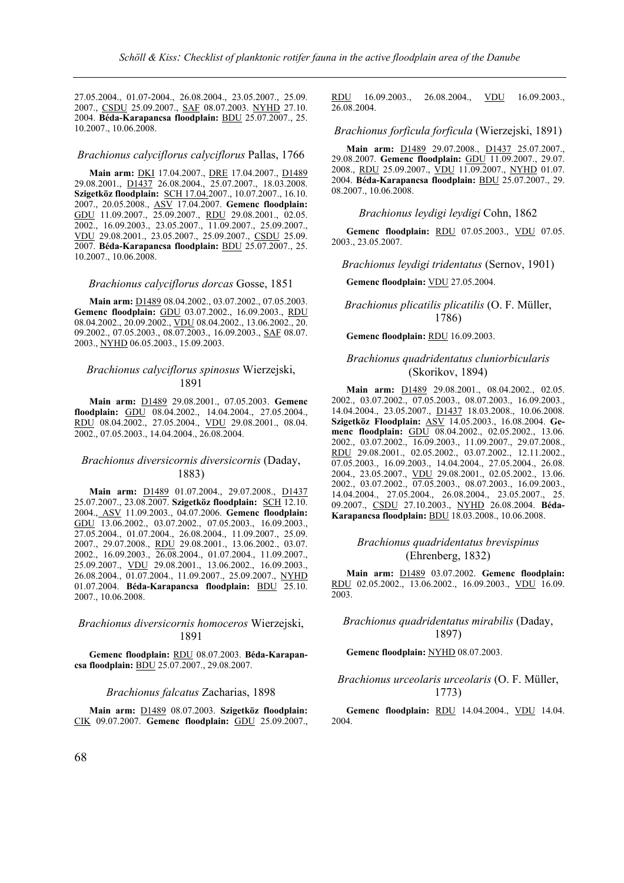27.05.2004., 01.07-2004., 26.08.2004., 23.05.2007., 25.09. 2007., CSDU 25.09.2007., SAF 08.07.2003. NYHD 27.10. 2004. **Béda-Karapancsa floodplain:** BDU 25.07.2007., 25. 10.2007., 10.06.2008.

#### *Brachionus calyciflorus calyciflorus* Pallas, 1766

**Main arm:** DKI 17.04.2007., DRE 17.04.2007., D1489 29.08.2001., D1437 26.08.2004., 25.07.2007., 18.03.2008. **Szigetköz floodplain:** SCH 17.04.2007., 10.07.2007., 16.10. 2007., 20.05.2008., ASV 17.04.2007. **Gemenc floodplain:** GDU 11.09.2007., 25.09.2007., RDU 29.08.2001., 02.05. 2002., 16.09.2003., 23.05.2007., 11.09.2007., 25.09.2007., VDU 29.08.2001., 23.05.2007., 25.09.2007., CSDU 25.09. 2007. **Béda-Karapancsa floodplain:** BDU 25.07.2007., 25. 10.2007., 10.06.2008.

#### *Brachionus calyciflorus dorcas* Gosse, 1851

**Main arm:** D1489 08.04.2002., 03.07.2002., 07.05.2003. **Gemenc floodplain:** GDU 03.07.2002., 16.09.2003., RDU 08.04.2002., 20.09.2002., VDU 08.04.2002., 13.06.2002., 20. 09.2002., 07.05.2003., 08.07.2003., 16.09.2003., SAF 08.07. 2003., NYHD 06.05.2003., 15.09.2003.

### *Brachionus calyciflorus spinosus* Wierzejski, 1891

**Main arm:** D1489 29.08.2001., 07.05.2003. **Gemenc floodplain:** GDU 08.04.2002., 14.04.2004., 27.05.2004., RDU 08.04.2002., 27.05.2004., VDU 29.08.2001., 08.04. 2002., 07.05.2003., 14.04.2004., 26.08.2004.

### *Brachionus diversicornis diversicornis* (Daday, 1883)

**Main arm:** D1489 01.07.2004., 29.07.2008., D1437 25.07.2007., 23.08.2007. **Szigetköz floodplain:** SCH 12.10. 2004., ASV 11.09.2003., 04.07.2006. **Gemenc floodplain:** GDU 13.06.2002., 03.07.2002., 07.05.2003., 16.09.2003., 27.05.2004., 01.07.2004., 26.08.2004., 11.09.2007., 25.09. 2007., 29.07.2008., RDU 29.08.2001., 13.06.2002., 03.07. 2002., 16.09.2003., 26.08.2004., 01.07.2004., 11.09.2007., 25.09.2007., VDU 29.08.2001., 13.06.2002., 16.09.2003., 26.08.2004., 01.07.2004., 11.09.2007., 25.09.2007., <u>NYHD</u> 01.07.2004. **Béda-Karapancsa floodplain:** BDU 25.10. 2007., 10.06.2008.

### *Brachionus diversicornis homoceros* Wierzejski, 1891

**Gemenc floodplain:** RDU 08.07.2003. **Béda-Karapancsa floodplain:** BDU 25.07.2007., 29.08.2007.

#### *Brachionus falcatus* Zacharias, 1898

**Main arm:** D1489 08.07.2003. **Szigetköz floodplain:** CIK 09.07.2007. **Gemenc floodplain:** GDU 25.09.2007., RDU 16.09.2003., 26.08.2004., VDU 16.09.2003., 26.08.2004.

### *Brachionus forficula forficula* (Wierzejski, 1891)

**Main arm:** D1489 29.07.2008., D1437 25.07.2007., 29.08.2007. **Gemenc floodplain:** GDU 11.09.2007., 29.07. 2008., RDU 25.09.2007., VDU 11.09.2007., NYHD 01.07. 2004. **Béda-Karapancsa floodplain:** BDU 25.07.2007., 29. 08.2007., 10.06.2008.

#### *Brachionus leydigi leydigi* Cohn, 1862

**Gemenc floodplain:** RDU 07.05.2003., VDU 07.05. 2003., 23.05.2007.

*Brachionus leydigi tridentatus* (Sernov, 1901)

**Gemenc floodplain:** VDU 27.05.2004.

### *Brachionus plicatilis plicatilis* (O. F. Müller, 1786)

#### **Gemenc floodplain:** RDU 16.09.2003.

### *Brachionus quadridentatus cluniorbicularis*  (Skorikov, 1894)

**Main arm:** D1489 29.08.2001., 08.04.2002., 02.05. 2002., 03.07.2002., 07.05.2003., 08.07.2003., 16.09.2003., 14.04.2004., 23.05.2007., D1437 18.03.2008., 10.06.2008. **Szigetköz Floodplain:** ASV 14.05.2003., 16.08.2004. **Gemenc floodplain:** GDU 08.04.2002., 02.05.2002., 13.06. 2002., 03.07.2002., 16.09.2003., 11.09.2007., 29.07.2008., RDU 29.08.2001., 02.05.2002., 03.07.2002., 12.11.2002., 07.05.2003., 16.09.2003., 14.04.2004., 27.05.2004., 26.08. 2004., 23.05.2007., VDU 29.08.2001., 02.05.2002., 13.06. 2002., 03.07.2002., 07.05.2003., 08.07.2003., 16.09.2003., 14.04.2004., 27.05.2004., 26.08.2004., 23.05.2007., 25. 09.2007., CSDU 27.10.2003., NYHD 26.08.2004. **Béda-Karapancsa floodplain:** BDU 18.03.2008., 10.06.2008.

### *Brachionus quadridentatus brevispinus*  (Ehrenberg, 1832)

**Main arm:** D1489 03.07.2002. **Gemenc floodplain:** RDU 02.05.2002., 13.06.2002., 16.09.2003., VDU 16.09. 2003.

# *Brachionus quadridentatus mirabilis* (Daday, 1897)

**Gemenc floodplain:** NYHD 08.07.2003.

### *Brachionus urceolaris urceolaris* (O. F. Müller, 1773)

**Gemenc floodplain:** RDU 14.04.2004., VDU 14.04. 2004.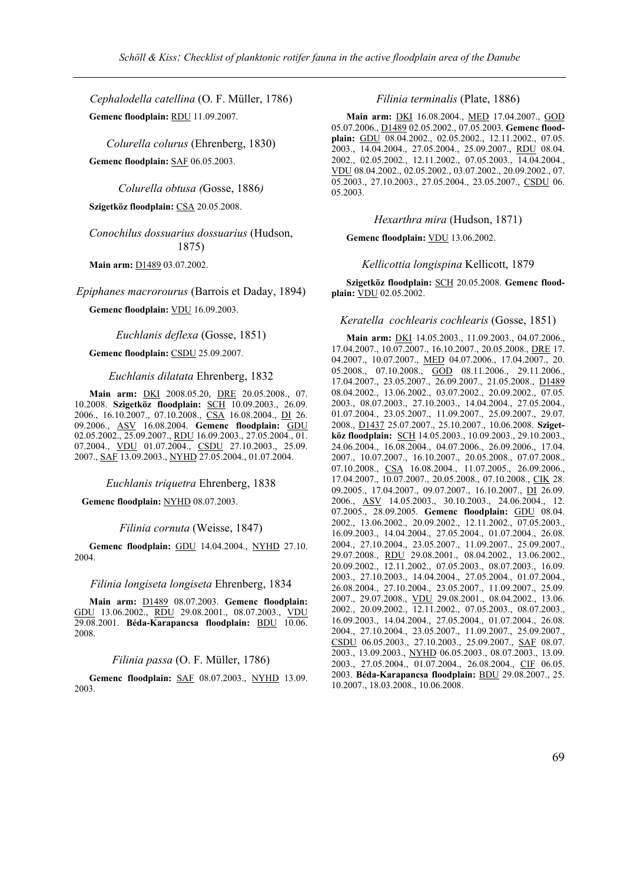*Cephalodella catellina* (O. F. Müller, 1786) **Gemenc floodplain:** RDU 11.09.2007.

*Colurella colurus* (Ehrenberg, 1830)

**Gemenc floodplain:** SAF 06.05.2003.

*Colurella obtusa (*Gosse, 1886*)*

**Szigetköz floodplain:** CSA 20.05.2008.

*Conochilus dossuarius dossuarius* (Hudson, 1875)

**Main arm:** D1489 03.07.2002.

*Epiphanes macrorourus* (Barrois et Daday, 1894)

**Gemenc floodplain:** VDU 16.09.2003.

*Euchlanis deflexa* (Gosse, 1851)

**Gemenc floodplain:** CSDU 25.09.2007.

*Euchlanis dilatata* Ehrenberg, 1832

**Main arm:** DKI 2008.05.20, DRE 20.05.2008., 07. 10.2008. **Szigetköz floodplain:** SCH 10.09.2003., 26.09. 2006., 16.10.2007., 07.10.2008., CSA 16.08.2004., DI 26. 09.2006., ASV 16.08.2004. **Gemenc floodplain:** GDU 02.05.2002., 25.09.2007., RDU 16.09.2003., 27.05.2004., 01. 07.2004., VDU 01.07.2004., CSDU 27.10.2003., 25.09. 2007., SAF 13.09.2003., NYHD 27.05.2004., 01.07.2004.

*Euchlanis triquetra* Ehrenberg, 1838

**Gemenc floodplain:** NYHD 08.07.2003.

*Filinia cornuta* (Weisse, 1847)

**Gemenc floodplain:** GDU 14.04.2004., NYHD 27.10. 2004.

*Filinia longiseta longiseta* Ehrenberg, 1834

**Main arm:** D1489 08.07.2003. **Gemenc floodplain:** GDU 13.06.2002., RDU 29.08.2001., 08.07.2003., VDU 29.08.2001. **Béda-Karapancsa floodplain:** BDU 10.06. 2008.

### *Filinia passa* (O. F. Müller, 1786)

**Gemenc floodplain:** SAF 08.07.2003., NYHD 13.09. 2003.

### *Filinia terminalis* (Plate, 1886)

**Main arm:** DKI 16.08.2004., MED 17.04.2007., GOD 05.07.2006., D1489 02.05.2002., 07.05.2003. **Gemenc floodplain:** GDU 08.04.2002., 02.05.2002., 12.11.2002., 07.05. 2003., 14.04.2004., 27.05.2004., 25.09.2007., RDU 08.04. 2002., 02.05.2002., 12.11.2002., 07.05.2003., 14.04.2004., VDU 08.04.2002., 02.05.2002., 03.07.2002., 20.09.2002., 07. 05.2003., 27.10.2003., 27.05.2004., 23.05.2007., CSDU 06. 05.2003.

### *Hexarthra mira* (Hudson, 1871)

**Gemenc floodplain:** VDU 13.06.2002.

*Kellicottia longispina* Kellicott, 1879

**Szigetköz floodplain:** SCH 20.05.2008. **Gemenc floodplain:** VDU 02.05.2002.

### *Keratella cochlearis cochlearis* (Gosse, 1851)

**Main arm:** DKI 14.05.2003., 11.09.2003., 04.07.2006., 17.04.2007., 10.07.2007., 16.10.2007., 20.05.2008., DRE 17. 04.2007., 10.07.2007., MED 04.07.2006., 17.04.2007., 20. 05.2008., 07.10.2008., **GOD** 08.11.2006., 29.11.2006., 17.04.2007., 23.05.2007., 26.09.2007., 21.05.2008., D1489 08.04.2002., 13.06.2002., 03.07.2002., 20.09.2002., 07.05. 2003., 08.07.2003., 27.10.2003., 14.04.2004., 27.05.2004., 01.07.2004., 23.05.2007., 11.09.2007., 25.09.2007., 29.07. 2008., D1437 25.07.2007., 25.10.2007., 10.06.2008. **Szigetköz floodplain:** SCH 14.05.2003., 10.09.2003., 29.10.2003., 24.06.2004., 16.08.2004., 04.07.2006., 26.09.2006., 17.04. 2007., 10.07.2007., 16.10.2007., 20.05.2008., 07.07.2008., 07.10.2008., CSA 16.08.2004., 11.07.2005., 26.09.2006., 17.04.2007., 10.07.2007., 20.05.2008., 07.10.2008., CIK 28. 09.2005., 17.04.2007., 09.07.2007., 16.10.2007., DI 26.09. 2006., ASV 14.05.2003., 30.10.2003., 24.06.2004., 12. 07.2005., 28.09.2005. **Gemenc floodplain:** GDU 08.04. 2002., 13.06.2002., 20.09.2002., 12.11.2002., 07.05.2003., 16.09.2003., 14.04.2004., 27.05.2004., 01.07.2004., 26.08. 2004., 27.10.2004., 23.05.2007., 11.09.2007., 25.09.2007., 29.07.2008., RDU 29.08.2001., 08.04.2002., 13.06.2002., 20.09.2002., 12.11.2002., 07.05.2003., 08.07.2003., 16.09. 2003., 27.10.2003., 14.04.2004., 27.05.2004., 01.07.2004., 26.08.2004., 27.10.2004., 23.05.2007., 11.09.2007., 25.09. 2007., 29.07.2008., VDU 29.08.2001., 08.04.2002., 13.06. 2002., 20.09.2002., 12.11.2002., 07.05.2003., 08.07.2003., 16.09.2003., 14.04.2004., 27.05.2004., 01.07.2004., 26.08. 2004., 27.10.2004., 23.05.2007., 11.09.2007., 25.09.2007., CSDU 06.05.2003., 27.10.2003., 25.09.2007., SAF 08.07. 2003., 13.09.2003., NYHD 06.05.2003., 08.07.2003., 13.09. 2003., 27.05.2004., 01.07.2004., 26.08.2004., CIF 06.05. 2003. **Béda-Karapancsa floodplain:** BDU 29.08.2007., 25. 10.2007., 18.03.2008., 10.06.2008.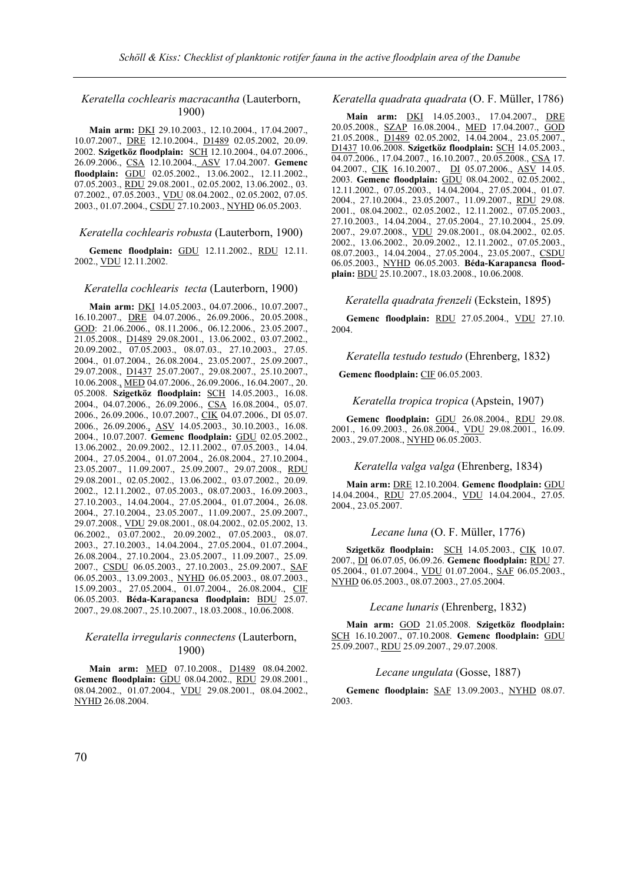# *Keratella cochlearis macracantha* (Lauterborn, 1900)

**Main arm:** DKI 29.10.2003., 12.10.2004., 17.04.2007., 10.07.2007., DRE 12.10.2004., D1489 02.05.2002, 20.09. 2002. **Szigetköz floodplain:** SCH 12.10.2004., 04.07.2006., 26.09.2006., CSA 12.10.2004., ASV 17.04.2007. **Gemenc floodplain:** GDU 02.05.2002., 13.06.2002., 12.11.2002., 07.05.2003., RDU 29.08.2001., 02.05.2002, 13.06.2002., 03. 07.2002., 07.05.2003., VDU 08.04.2002., 02.05.2002, 07.05. 2003., 01.07.2004., CSDU 27.10.2003., NYHD 06.05.2003.

### *Keratella cochlearis robusta* (Lauterborn, 1900)

**Gemenc floodplain:** GDU 12.11.2002., RDU 12.11. 2002., VDU 12.11.2002.

#### *Keratella cochlearis tecta* (Lauterborn, 1900)

**Main arm:** DKI 14.05.2003., 04.07.2006., 10.07.2007., 16.10.2007., DRE 04.07.2006., 26.09.2006., 20.05.2008., GOD: 21.06.2006., 08.11.2006., 06.12.2006., 23.05.2007., 21.05.2008., D1489 29.08.2001., 13.06.2002., 03.07.2002., 20.09.2002., 07.05.2003., 08.07.03., 27.10.2003., 27.05. 2004., 01.07.2004., 26.08.2004., 23.05.2007., 25.09.2007., 29.07.2008., D1437 25.07.2007., 29.08.2007., 25.10.2007., 10.06.2008., MED 04.07.2006., 26.09.2006., 16.04.2007., 20. 05.2008. **Szigetköz floodplain:** SCH 14.05.2003., 16.08. 2004., 04.07.2006., 26.09.2006., CSA 16.08.2004., 05.07. 2006., 26.09.2006., 10.07.2007., CIK 04.07.2006., DI 05.07. 2006., 26.09.2006., ASV 14.05.2003., 30.10.2003., 16.08. 2004., 10.07.2007. **Gemenc floodplain:** GDU 02.05.2002., 13.06.2002., 20.09.2002., 12.11.2002., 07.05.2003., 14.04. 2004., 27.05.2004., 01.07.2004., 26.08.2004., 27.10.2004., 23.05.2007., 11.09.2007., 25.09.2007., 29.07.2008., RDU 29.08.2001., 02.05.2002., 13.06.2002., 03.07.2002., 20.09. 2002., 12.11.2002., 07.05.2003., 08.07.2003., 16.09.2003., 27.10.2003., 14.04.2004., 27.05.2004., 01.07.2004., 26.08. 2004., 27.10.2004., 23.05.2007., 11.09.2007., 25.09.2007., 29.07.2008., VDU 29.08.2001., 08.04.2002., 02.05.2002, 13. 06.2002., 03.07.2002., 20.09.2002., 07.05.2003., 08.07. 2003., 27.10.2003., 14.04.2004., 27.05.2004., 01.07.2004., 26.08.2004., 27.10.2004., 23.05.2007., 11.09.2007., 25.09. 2007., CSDU 06.05.2003., 27.10.2003., 25.09.2007., SAF 06.05.2003., 13.09.2003., NYHD 06.05.2003., 08.07.2003., 15.09.2003., 27.05.2004., 01.07.2004., 26.08.2004., CIF 06.05.2003. **Béda-Karapancsa floodplain:** BDU 25.07. 2007., 29.08.2007., 25.10.2007., 18.03.2008., 10.06.2008.

### *Keratella irregularis connectens* (Lauterborn, 1900)

**Main arm:** MED 07.10.2008., D1489 08.04.2002. **Gemenc floodplain:** GDU 08.04.2002., RDU 29.08.2001., 08.04.2002., 01.07.2004., VDU 29.08.2001., 08.04.2002., NYHD 26.08.2004.

### *Keratella quadrata quadrata* (O. F. Müller, 1786)

**Main arm:** DKI 14.05.2003., 17.04.2007., 20.05.2008., SZAP 16.08.2004., MED 17.04.2007., GOD 21.05.2008., D1489 02.05.2002, 14.04.2004., 23.05.2007., D1437 10.06.2008. **Szigetköz floodplain:** SCH 14.05.2003., 04.07.2006., 17.04.2007., 16.10.2007., 20.05.2008., CSA 17. 04.2007., CIK 16.10.2007., DI 05.07.2006., ASV 14.05. 2003. **Gemenc floodplain:** GDU 08.04.2002., 02.05.2002., 12.11.2002., 07.05.2003., 14.04.2004., 27.05.2004., 01.07. 2004., 27.10.2004., 23.05.2007., 11.09.2007., RDU 29.08. 2001., 08.04.2002., 02.05.2002., 12.11.2002., 07.05.2003., 27.10.2003., 14.04.2004., 27.05.2004., 27.10.2004., 25.09. 2007., 29.07.2008., VDU 29.08.2001., 08.04.2002., 02.05. 2002., 13.06.2002., 20.09.2002., 12.11.2002., 07.05.2003., 08.07.2003., 14.04.2004., 27.05.2004., 23.05.2007., CSDU 06.05.2003., NYHD 06.05.2003. **Béda-Karapancsa floodplain:** BDU 25.10.2007., 18.03.2008., 10.06.2008.

### *Keratella quadrata frenzeli* (Eckstein, 1895)

**Gemenc floodplain:** RDU 27.05.2004., VDU 27.10. 2004.

### *Keratella testudo testudo* (Ehrenberg, 1832)

**Gemenc floodplain:** CIF 06.05.2003.

#### *Keratella tropica tropica* (Apstein, 1907)

**Gemenc floodplain:** GDU 26.08.2004., RDU 29.08. 2001., 16.09.2003., 26.08.2004., VDU 29.08.2001., 16.09. 2003., 29.07.2008., NYHD 06.05.2003.

#### *Keratella valga valga* (Ehrenberg, 1834)

**Main arm:** DRE 12.10.2004. **Gemenc floodplain:** GDU 14.04.2004., RDU 27.05.2004., VDU 14.04.2004., 27.05. 2004., 23.05.2007.

#### *Lecane luna* (O. F. Müller, 1776)

**Szigetköz floodplain:** SCH 14.05.2003., CIK 10.07. 2007., DI 06.07.05, 06.09.26. **Gemenc floodplain:** RDU 27. 05.2004., 01.07.2004., <u>VDU</u> 01.07.2004., SAF 06.05.2003., NYHD 06.05.2003., 08.07.2003., 27.05.2004.

#### *Lecane lunaris* (Ehrenberg, 1832)

**Main arm:** GOD 21.05.2008. **Szigetköz floodplain:** SCH 16.10.2007., 07.10.2008. **Gemenc floodplain:** GDU 25.09.2007., RDU 25.09.2007., 29.07.2008.

### *Lecane ungulata* (Gosse, 1887)

**Gemenc floodplain:** SAF 13.09.2003., NYHD 08.07. 2003.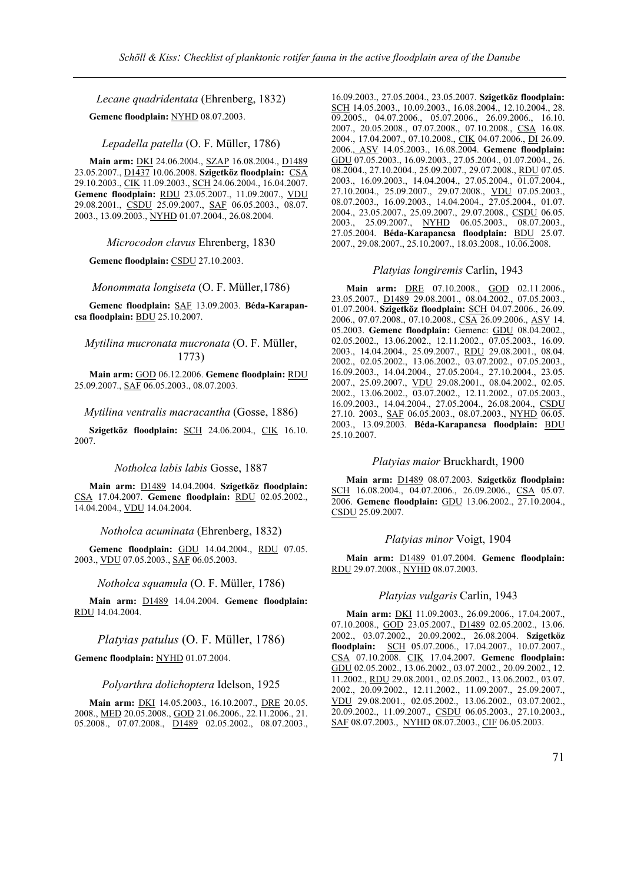*Lecane quadridentata* (Ehrenberg, 1832)

**Gemenc floodplain:** NYHD 08.07.2003.

*Lepadella patella* (O. F. Müller, 1786)

**Main arm:** DKI 24.06.2004., SZAP 16.08.2004., D1489 23.05.2007., D1437 10.06.2008. **Szigetköz floodplain:** CSA 29.10.2003., CIK 11.09.2003., SCH 24.06.2004., 16.04.2007. **Gemenc floodplain:** RDU 23.05.2007., 11.09.2007., VDU 29.08.2001., CSDU 25.09.2007., SAF 06.05.2003., 08.07. 2003., 13.09.2003., NYHD 01.07.2004., 26.08.2004.

*Microcodon clavus* Ehrenberg, 1830

**Gemenc floodplain:** CSDU 27.10.2003.

*Monommata longiseta* (O. F. Müller,1786)

**Gemenc floodplain:** SAF 13.09.2003. **Béda-Karapancsa floodplain:** BDU 25.10.2007.

*Mytilina mucronata mucronata* (O. F. Müller, 1773)

**Main arm:** GOD 06.12.2006. **Gemenc floodplain:** RDU 25.09.2007., SAF 06.05.2003., 08.07.2003.

*Mytilina ventralis macracantha* (Gosse, 1886)

**Szigetköz floodplain:** SCH 24.06.2004., CIK 16.10. 2007.

#### *Notholca labis labis* Gosse, 1887

**Main arm:** D1489 14.04.2004. **Szigetköz floodplain:** CSA 17.04.2007. **Gemenc floodplain:** RDU 02.05.2002., 14.04.2004., VDU 14.04.2004.

*Notholca acuminata* (Ehrenberg, 1832)

**Gemenc floodplain:** GDU 14.04.2004., RDU 07.05. 2003., VDU 07.05.2003., SAF 06.05.2003.

*Notholca squamula* (O. F. Müller, 1786)

**Main arm:** D1489 14.04.2004. **Gemenc floodplain:** RDU 14.04.2004.

*Platyias patulus* (O. F. Müller, 1786)

**Gemenc floodplain:** NYHD 01.07.2004.

### *Polyarthra dolichoptera* Idelson, 1925

**Main arm:** DKI 14.05.2003., 16.10.2007., DRE 20.05. 2008., MED 20.05.2008., GOD 21.06.2006., 22.11.2006., 21. 05.2008., 07.07.2008., **D1489** 02.05.2002., 08.07.2003.,

16.09.2003., 27.05.2004., 23.05.2007. **Szigetköz floodplain:** SCH 14.05.2003., 10.09.2003., 16.08.2004., 12.10.2004., 28. 09.2005., 04.07.2006., 05.07.2006., 26.09.2006., 16.10. 2007., 20.05.2008., 07.07.2008., 07.10.2008., CSA 16.08. 2004., 17.04.2007., 07.10.2008., CIK 04.07.2006., DI 26.09. 2006., ASV 14.05.2003., 16.08.2004. **Gemenc floodplain:** GDU 07.05.2003., 16.09.2003., 27.05.2004., 01.07.2004., 26. 08.2004., 27.10.2004., 25.09.2007., 29.07.2008., RDU 07.05. 2003., 16.09.2003., 14.04.2004., 27.05.2004., 01.07.2004., 27.10.2004., 25.09.2007., 29.07.2008., VDU 07.05.2003., 08.07.2003., 16.09.2003., 14.04.2004., 27.05.2004., 01.07. 2004., 23.05.2007., 25.09.2007., 29.07.2008., CSDU 06.05. 2003., 25.09.2007., NYHD 06.05.2003., 08.07.2003., 27.05.2004. **Béda-Karapancsa floodplain:** BDU 25.07. 2007., 29.08.2007., 25.10.2007., 18.03.2008., 10.06.2008.

### *Platyias longiremis* Carlin, 1943

**Main arm:** DRE 07.10.2008., GOD 02.11.2006., 23.05.2007., D1489 29.08.2001., 08.04.2002., 07.05.2003., 01.07.2004. **Szigetköz floodplain:** SCH 04.07.2006., 26.09. 2006., 07.07.2008., 07.10.2008., CSA 26.09.2006., ASV 14. 05.2003. **Gemenc floodplain:** Gemenc: GDU 08.04.2002., 02.05.2002., 13.06.2002., 12.11.2002., 07.05.2003., 16.09. 2003., 14.04.2004., 25.09.2007., RDU 29.08.2001., 08.04. 2002., 02.05.2002., 13.06.2002., 03.07.2002., 07.05.2003., 16.09.2003., 14.04.2004., 27.05.2004., 27.10.2004., 23.05. 2007., 25.09.2007., VDU 29.08.2001., 08.04.2002., 02.05. 2002., 13.06.2002., 03.07.2002., 12.11.2002., 07.05.2003., 16.09.2003., 14.04.2004., 27.05.2004., 26.08.2004., CSDU 27.10. 2003., SAF 06.05.2003., 08.07.2003., NYHD 06.05. 2003., 13.09.2003. **Béda-Karapancsa floodplain:** BDU 25.10.2007.

#### *Platyias maior* Bruckhardt, 1900

**Main arm:** D1489 08.07.2003. **Szigetköz floodplain:** SCH 16.08.2004., 04.07.2006., 26.09.2006., CSA 05.07. 2006. **Gemenc floodplain:** GDU 13.06.2002., 27.10.2004., CSDU 25.09.2007.

#### *Platyias minor* Voigt, 1904

**Main arm:** D1489 01.07.2004. **Gemenc floodplain:** RDU 29.07.2008., NYHD 08.07.2003.

### *Platyias vulgaris* Carlin, 1943

**Main arm:** DKI 11.09.2003., 26.09.2006., 17.04.2007., 07.10.2008., GOD 23.05.2007., D1489 02.05.2002., 13.06. 2002., 03.07.2002., 20.09.2002., 26.08.2004. **Szigetköz floodplain:** SCH 05.07.2006., 17.04.2007., 10.07.2007., CSA 07.10.2008. CIK 17.04.2007. **Gemenc floodplain:** GDU 02.05.2002., 13.06.2002., 03.07.2002., 20.09.2002., 12. 11.2002., RDU 29.08.2001., 02.05.2002., 13.06.2002., 03.07. 2002., 20.09.2002., 12.11.2002., 11.09.2007., 25.09.2007., VDU 29.08.2001., 02.05.2002., 13.06.2002., 03.07.2002., 20.09.2002., 11.09.2007., CSDU 06.05.2003., 27.10.2003., SAF 08.07.2003., NYHD 08.07.2003., CIF 06.05.2003.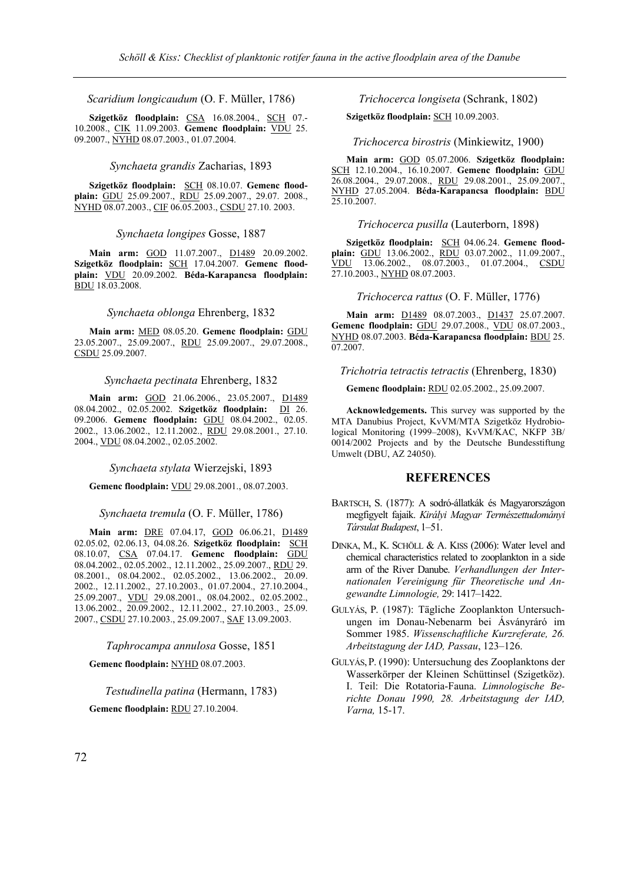*Scaridium longicaudum* (O. F. Müller, 1786)

**Szigetköz floodplain:** CSA 16.08.2004., SCH 07.- 10.2008., CIK 11.09.2003. **Gemenc floodplain:** VDU 25. 09.2007., NYHD 08.07.2003., 01.07.2004.

#### *Synchaeta grandis* Zacharias, 1893

**Szigetköz floodplain:** SCH 08.10.07. **Gemenc floodplain:** GDU 25.09.2007., RDU 25.09.2007., 29.07. 2008., NYHD 08.07.2003., CIF 06.05.2003., CSDU 27.10. 2003.

### *Synchaeta longipes* Gosse, 1887

**Main arm:** GOD 11.07.2007., D1489 20.09.2002. **Szigetköz floodplain:** SCH 17.04.2007. **Gemenc floodplain:** VDU 20.09.2002. **Béda-Karapancsa floodplain:** BDU 18.03.2008.

### *Synchaeta oblonga* Ehrenberg, 1832

**Main arm:** MED 08.05.20. **Gemenc floodplain:** GDU 23.05.2007., 25.09.2007., RDU 25.09.2007., 29.07.2008., CSDU 25.09.2007.

#### *Synchaeta pectinata* Ehrenberg, 1832

**Main arm:** GOD 21.06.2006., 23.05.2007., D1489 08.04.2002., 02.05.2002. **Szigetköz floodplain:** DI 26. 09.2006. **Gemenc floodplain:** GDU 08.04.2002., 02.05. 2002., 13.06.2002., 12.11.2002., RDU 29.08.2001., 27.10. 2004., VDU 08.04.2002., 02.05.2002.

*Synchaeta stylata* Wierzejski, 1893

**Gemenc floodplain:** VDU 29.08.2001., 08.07.2003.

*Synchaeta tremula* (O. F. Müller, 1786)

**Main arm:** DRE 07.04.17, GOD 06.06.21, D1489 02.05.02, 02.06.13, 04.08.26. **Szigetköz floodplain:** SCH 08.10.07, CSA 07.04.17. **Gemenc floodplain:** GDU 08.04.2002., 02.05.2002., 12.11.2002., 25.09.2007., RDU 29. 08.2001., 08.04.2002., 02.05.2002., 13.06.2002., 20.09. 2002., 12.11.2002., 27.10.2003., 01.07.2004., 27.10.2004., 25.09.2007., VDU 29.08.2001., 08.04.2002., 02.05.2002., 13.06.2002., 20.09.2002., 12.11.2002., 27.10.2003., 25.09. 2007., CSDU 27.10.2003., 25.09.2007., SAF 13.09.2003.

*Taphrocampa annulosa* Gosse, 1851

**Gemenc floodplain:** NYHD 08.07.2003.

*Testudinella patina* (Hermann, 1783)

**Gemenc floodplain:** RDU 27.10.2004.

*Trichocerca longiseta* (Schrank, 1802)

**Szigetköz floodplain:** SCH 10.09.2003.

# *Trichocerca birostris* (Minkiewitz, 1900)

**Main arm:** GOD 05.07.2006. **Szigetköz floodplain:** SCH 12.10.2004., 16.10.2007. **Gemenc floodplain:** GDU 26.08.2004., 29.07.2008., RDU 29.08.2001., 25.09.2007., NYHD 27.05.2004. **Béda-Karapancsa floodplain:** BDU 25.10.2007.

### *Trichocerca pusilla* (Lauterborn, 1898)

**Szigetköz floodplain:** SCH 04.06.24. **Gemenc floodplain:** GDU 13.06.2002., RDU 03.07.2002., 11.09.2007., VDU 13.06.2002., 08.07.2003., 01.07.2004., CSDU 27.10.2003., NYHD 08.07.2003.

#### *Trichocerca rattus* (O. F. Müller, 1776)

**Main arm:** D1489 08.07.2003., D1437 25.07.2007. **Gemenc floodplain:** GDU 29.07.2008., VDU 08.07.2003., NYHD 08.07.2003. **Béda-Karapancsa floodplain:** BDU 25. 07.2007.

*Trichotria tetractis tetractis* (Ehrenberg, 1830)

**Gemenc floodplain:** RDU 02.05.2002., 25.09.2007.

**Acknowledgements.** This survey was supported by the MTA Danubius Project, KvVM/MTA Szigetköz Hydrobiological Monitoring (1999–2008), KvVM/KAC, NKFP 3B/ 0014/2002 Projects and by the Deutsche Bundesstiftung Umwelt (DBU, AZ 24050).

# **REFERENCES**

- BARTSCH, S. (1877): A sodró-állatkák és Magyarországon megfigyelt fajaik. *Királyi Magyar Természettudományi Társulat Budapest*, 1–51.
- DINKA, M., K. SCHÖLL & A. KISS (2006): Water level and chemical characteristics related to zooplankton in a side arm of the River Danube. *Verhandlungen der Internationalen Vereinigung für Theoretische und Angewandte Limnologie,* 29: 1417–1422.
- GULYÁS, P. (1987): Tägliche Zooplankton Untersuchungen im Donau-Nebenarm bei Ásványráró im Sommer 1985. *Wissenschaftliche Kurzreferate, 26. Arbeitstagung der IAD, Passau*, 123–126.
- GULYÁS,P. (1990): Untersuchung des Zooplanktons der Wasserkörper der Kleinen Schüttinsel (Szigetköz). I. Teil: Die Rotatoria-Fauna. *Limnologische Berichte Donau 1990, 28. Arbeitstagung der IAD, Varna,* 15-17.